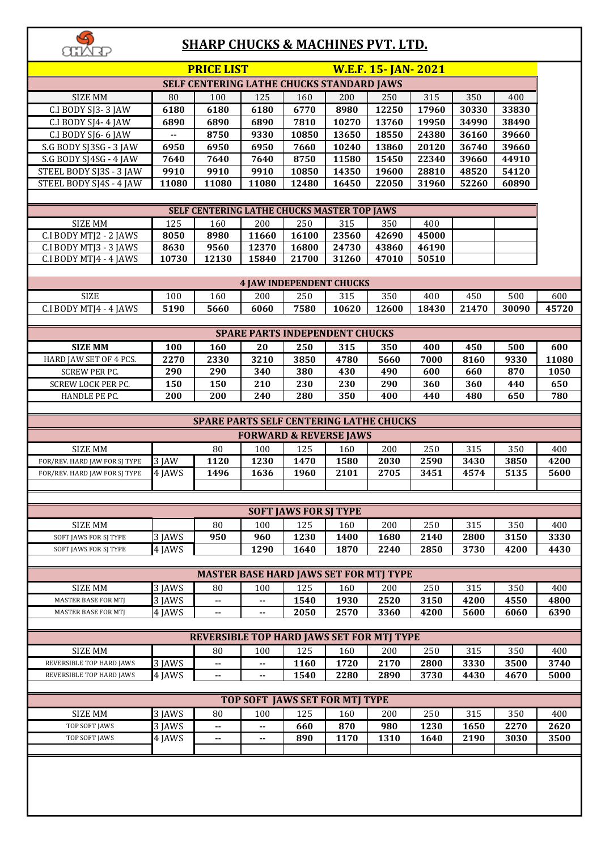## **SHARP CHUCKS & MACHINES PVT. LTD.**

| <b>SHARP CHUCKS &amp; MACHINES PVT. LTD.</b>       |                |                                                |                                       |                              |                |                           |                |                |                |             |
|----------------------------------------------------|----------------|------------------------------------------------|---------------------------------------|------------------------------|----------------|---------------------------|----------------|----------------|----------------|-------------|
|                                                    |                | <b>PRICE LIST</b>                              |                                       |                              |                | <b>W.E.F. 15-JAN-2021</b> |                |                |                |             |
| SELF CENTERING LATHE CHUCKS STANDARD JAWS          |                |                                                |                                       |                              |                |                           |                |                |                |             |
| <b>SIZE MM</b>                                     | 80             | 100                                            | 125                                   | 160                          | 200            | 250                       | 315            | 350            | 400            |             |
| C.I BODY SJ3-3 JAW                                 | 6180           | 6180                                           | 6180                                  | 6770                         | 8980           | 12250                     | 17960          | 30330          | 33830          |             |
| C.I BODY SJ4-4 JAW                                 | 6890           | 6890                                           | 6890                                  | 7810                         | 10270          | 13760                     | 19950          | 34990          | 38490          |             |
| C.I BODY SJ6-6 JAW                                 | $\overline{a}$ | 8750                                           | 9330                                  | 10850                        | 13650          | 18550                     | 24380          | 36160          | 39660          |             |
| S.G BODY SJ3SG - 3 JAW                             | 6950           | 6950                                           | 6950                                  | 7660                         | 10240          | 13860                     | 20120          | 36740          | 39660          |             |
| S.G BODY SJ4SG - 4 JAW                             | 7640           | 7640                                           | 7640                                  | 8750                         | 11580          | 15450<br>19600            | 22340          | 39660          | 44910          |             |
| STEEL BODY SJ3S - 3 JAW<br>STEEL BODY SJ4S - 4 JAW | 9910<br>11080  | 9910<br>11080                                  | 9910<br>11080                         | 10850<br>12480               | 14350<br>16450 | 22050                     | 28810<br>31960 | 48520<br>52260 | 54120<br>60890 |             |
|                                                    |                |                                                |                                       |                              |                |                           |                |                |                |             |
| SELF CENTERING LATHE CHUCKS MASTER TOP JAWS        |                |                                                |                                       |                              |                |                           |                |                |                |             |
| <b>SIZE MM</b>                                     | 125            | 160                                            | 200                                   | 250                          | 315            | 350                       | 400            |                |                |             |
| C.I BODY MTJ2 - 2 JAWS                             | 8050           | 8980                                           | 11660                                 | 16100                        | 23560          | 42690                     | 45000          |                |                |             |
| C.I BODY MTJ3 - 3 JAWS                             | 8630           | 9560                                           | 12370                                 | 16800                        | 24730          | 43860                     | 46190          |                |                |             |
| C.I BODY MTJ4 - 4 JAWS                             | 10730          | 12130                                          | 15840                                 | 21700                        | 31260          | 47010                     | 50510          |                |                |             |
| <b>4 JAW INDEPENDENT CHUCKS</b>                    |                |                                                |                                       |                              |                |                           |                |                |                |             |
|                                                    |                |                                                |                                       |                              |                |                           |                |                |                |             |
| <b>SIZE</b>                                        | 100            | 160                                            | 200                                   | 250                          | 315            | 350                       | 400            | 450            | 500            | 600         |
| C.I BODY MTJ4 - 4 JAWS                             | 5190           | 5660                                           | 6060                                  | 7580                         | 10620          | 12600                     | 18430          | 21470          | 30090          | 45720       |
|                                                    |                |                                                | <b>SPARE PARTS INDEPENDENT CHUCKS</b> |                              |                |                           |                |                |                |             |
| <b>SIZE MM</b>                                     | 100            | 160                                            | 20                                    | 250                          | 315            | 350                       | 400            | 450            | 500            | 600         |
| HARD JAW SET OF 4 PCS.                             | 2270           | 2330                                           | 3210                                  | 3850                         | 4780           | 5660                      | 7000           | 8160           | 9330           | 11080       |
| <b>SCREW PER PC.</b>                               | 290            | 290                                            | 340                                   | 380                          | 430            | 490                       | 600            | 660            | 870            | 1050        |
| SCREW LOCK PER PC.                                 | 150            | 150                                            | 210                                   | 230                          | 230            | 290                       | 360            | 360            | 440            | 650         |
| HANDLE PE PC.                                      | 200            | 200                                            | 240                                   | 280                          | 350            | 400                       | 440            | 480            | 650            | 780         |
|                                                    |                |                                                |                                       |                              |                |                           |                |                |                |             |
|                                                    |                | <b>SPARE PARTS SELF CENTERING LATHE CHUCKS</b> |                                       |                              |                |                           |                |                |                |             |
|                                                    |                |                                                | <b>FORWARD &amp; REVERSE JAWS</b>     |                              |                |                           |                |                |                |             |
| <b>SIZE MM</b>                                     |                | 80                                             | 100                                   | 125                          | 160            | 200                       | 250            | 315            | 350            | 400         |
| FOR/REV. HARD JAW FOR SJ TYPE                      | 3 JAW          | 1120                                           | 1230                                  | 1470                         | 1580           | 2030                      | 2590           | 3430           | 3850           | 4200        |
| FOR/REV. HARD JAW FOR SJ TYPE                      | 4 JAWS         | 1496                                           | 1636                                  | 1960                         | 2101           | 2705                      | 3451           | 4574           | 5135           | 5600        |
|                                                    |                |                                                |                                       |                              |                |                           |                |                |                |             |
|                                                    |                |                                                |                                       | <b>SOFT JAWS FOR SJ TYPE</b> |                |                           |                |                |                |             |
| <b>SIZE MM</b>                                     |                | 80                                             | 100                                   | 125                          | 160            | 200                       | 250            | 315            | 350            | 400         |
| SOFT JAWS FOR SJ TYPE                              | 3 JAWS         | 950                                            | 960                                   | 1230                         | 1400           | 1680                      | 2140           | 2800           | 3150           | 3330        |
| <b>SOFT JAWS FOR SI TYPE</b>                       | 4 JAWS         |                                                | 1290                                  | 1640                         | 1870           | 2240                      | 2850           | 3730           | 4200           | 4430        |
|                                                    |                |                                                |                                       |                              |                |                           |                |                |                |             |
|                                                    |                | <b>MASTER BASE HARD JAWS SET FOR MTJ TYPE</b>  |                                       |                              |                |                           |                |                |                |             |
| <b>SIZE MM</b>                                     | 3 JAWS         | 80                                             | 100                                   | 125                          | 160            | 200                       | 250            | 315            | 350            | 400         |
| <b>MASTER BASE FOR MTJ</b>                         | 3 JAWS         | --                                             | $\overline{\phantom{a}}$              | 1540                         | 1930           | 2520                      | 3150           | 4200           | 4550           | 4800        |
| <b>MASTER BASE FOR MTJ</b>                         | 4 JAWS         | --                                             |                                       | 2050                         | 2570           | 3360                      | 4200           | 5600           | 6060           | 6390        |
|                                                    |                |                                                |                                       |                              |                |                           |                |                |                |             |
|                                                    |                | REVERSIBLE TOP HARD JAWS SET FOR MTJ TYPE      |                                       |                              |                |                           |                |                |                |             |
| <b>SIZE MM</b><br>REVERSIBLE TOP HARD JAWS         | 3 JAWS         | 80<br>--                                       | 100<br>$\overline{\phantom{a}}$       | 125<br>1160                  | 160<br>1720    | 200<br>2170               | 250<br>2800    | 315<br>3330    | 350<br>3500    | 400<br>3740 |
| REVERSIBLE TOP HARD JAWS                           | 4 JAWS         | ۰.                                             | $\mathbf{H}$                          | 1540                         | 2280           | 2890                      | 3730           | 4430           | 4670           | 5000        |
|                                                    |                |                                                |                                       |                              |                |                           |                |                |                |             |
|                                                    |                |                                                | <b>TOP SOFT JAWS SET FOR MTJ TYPE</b> |                              |                |                           |                |                |                |             |
| <b>SIZE MM</b>                                     | 3 JAWS         | 80                                             | 100                                   | 125                          | 160            | 200                       | 250            | 315            | 350            | 400         |
| TOP SOFT JAWS                                      | 3 JAWS         | $-$                                            |                                       | 660                          | 870            | 980                       | 1230           | 1650           | 2270           | 2620        |
| TOP SOFT JAWS                                      | 4 JAWS         | --                                             | $-$                                   | 890                          | 1170           | 1310                      | 1640           | 2190           | 3030           | 3500        |
|                                                    |                |                                                |                                       |                              |                |                           |                |                |                |             |
|                                                    |                |                                                |                                       |                              |                |                           |                |                |                |             |
|                                                    |                |                                                |                                       |                              |                |                           |                |                |                |             |
|                                                    |                |                                                |                                       |                              |                |                           |                |                |                |             |